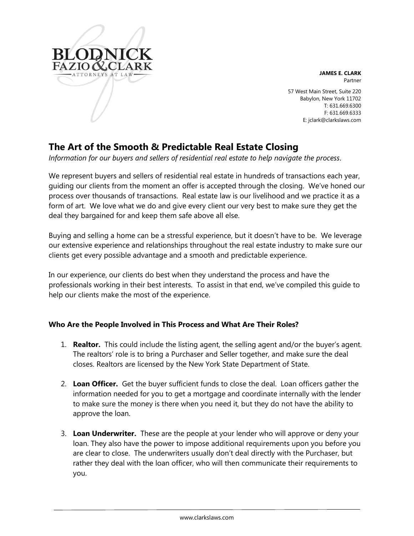

**JAMES E. CLARK** Partner

57 West Main Street, Suite 220 Babylon, New York 11702 T: 631.669.6300 F: 631.669.6333 E: jclark@clarkslaws.com

# **The Art of the Smooth & Predictable Real Estate Closing**

*Information for our buyers and sellers of residential real estate to help navigate the process*.

We represent buyers and sellers of residential real estate in hundreds of transactions each year, guiding our clients from the moment an offer is accepted through the closing. We've honed our process over thousands of transactions. Real estate law is our livelihood and we practice it as a form of art. We love what we do and give every client our very best to make sure they get the deal they bargained for and keep them safe above all else.

Buying and selling a home can be a stressful experience, but it doesn't have to be. We leverage our extensive experience and relationships throughout the real estate industry to make sure our clients get every possible advantage and a smooth and predictable experience.

In our experience, our clients do best when they understand the process and have the professionals working in their best interests. To assist in that end, we've compiled this guide to help our clients make the most of the experience.

# **Who Are the People Involved in This Process and What Are Their Roles?**

- 1. **Realtor.** This could include the listing agent, the selling agent and/or the buyer's agent. The realtors' role is to bring a Purchaser and Seller together, and make sure the deal closes. Realtors are licensed by the New York State Department of State.
- 2. **Loan Officer.** Get the buyer sufficient funds to close the deal. Loan officers gather the information needed for you to get a mortgage and coordinate internally with the lender to make sure the money is there when you need it, but they do not have the ability to approve the loan.
- 3. **Loan Underwriter.** These are the people at your lender who will approve or deny your loan. They also have the power to impose additional requirements upon you before you are clear to close. The underwriters usually don't deal directly with the Purchaser, but rather they deal with the loan officer, who will then communicate their requirements to you.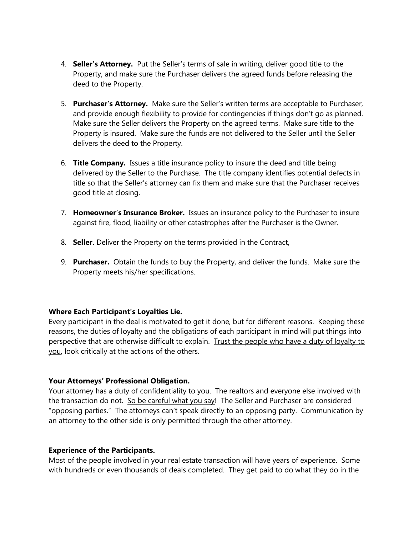- 4. **Seller's Attorney.** Put the Seller's terms of sale in writing, deliver good title to the Property, and make sure the Purchaser delivers the agreed funds before releasing the deed to the Property.
- 5. **Purchaser's Attorney.** Make sure the Seller's written terms are acceptable to Purchaser, and provide enough flexibility to provide for contingencies if things don't go as planned. Make sure the Seller delivers the Property on the agreed terms. Make sure title to the Property is insured. Make sure the funds are not delivered to the Seller until the Seller delivers the deed to the Property.
- 6. **Title Company.** Issues a title insurance policy to insure the deed and title being delivered by the Seller to the Purchase. The title company identifies potential defects in title so that the Seller's attorney can fix them and make sure that the Purchaser receives good title at closing.
- 7. **Homeowner's Insurance Broker.** Issues an insurance policy to the Purchaser to insure against fire, flood, liability or other catastrophes after the Purchaser is the Owner.
- 8. **Seller.** Deliver the Property on the terms provided in the Contract,
- 9. **Purchaser.** Obtain the funds to buy the Property, and deliver the funds. Make sure the Property meets his/her specifications.

## **Where Each Participant's Loyalties Lie.**

Every participant in the deal is motivated to get it done, but for different reasons. Keeping these reasons, the duties of loyalty and the obligations of each participant in mind will put things into perspective that are otherwise difficult to explain. Trust the people who have a duty of loyalty to you, look critically at the actions of the others.

## **Your Attorneys' Professional Obligation.**

Your attorney has a duty of confidentiality to you. The realtors and everyone else involved with the transaction do not. So be careful what you say! The Seller and Purchaser are considered "opposing parties." The attorneys can't speak directly to an opposing party. Communication by an attorney to the other side is only permitted through the other attorney.

## **Experience of the Participants.**

Most of the people involved in your real estate transaction will have years of experience. Some with hundreds or even thousands of deals completed. They get paid to do what they do in the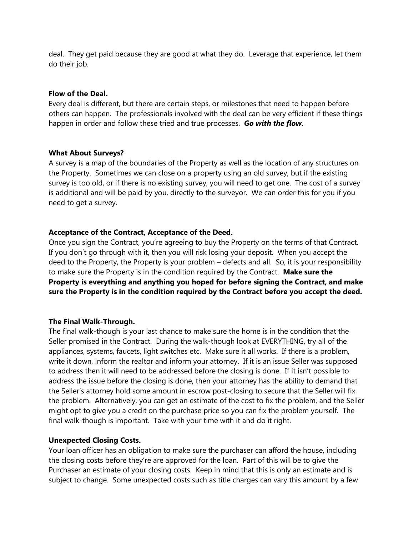deal. They get paid because they are good at what they do. Leverage that experience, let them do their job.

#### **Flow of the Deal.**

Every deal is different, but there are certain steps, or milestones that need to happen before others can happen. The professionals involved with the deal can be very efficient if these things happen in order and follow these tried and true processes. *Go with the flow.*

#### **What About Surveys?**

A survey is a map of the boundaries of the Property as well as the location of any structures on the Property. Sometimes we can close on a property using an old survey, but if the existing survey is too old, or if there is no existing survey, you will need to get one. The cost of a survey is additional and will be paid by you, directly to the surveyor. We can order this for you if you need to get a survey.

## **Acceptance of the Contract, Acceptance of the Deed.**

Once you sign the Contract, you're agreeing to buy the Property on the terms of that Contract. If you don't go through with it, then you will risk losing your deposit. When you accept the deed to the Property, the Property is your problem – defects and all. So, it is your responsibility to make sure the Property is in the condition required by the Contract. **Make sure the Property is everything and anything you hoped for before signing the Contract, and make sure the Property is in the condition required by the Contract before you accept the deed.**

## **The Final Walk-Through.**

The final walk-though is your last chance to make sure the home is in the condition that the Seller promised in the Contract. During the walk-though look at EVERYTHING, try all of the appliances, systems, faucets, light switches etc. Make sure it all works. If there is a problem, write it down, inform the realtor and inform your attorney. If it is an issue Seller was supposed to address then it will need to be addressed before the closing is done. If it isn't possible to address the issue before the closing is done, then your attorney has the ability to demand that the Seller's attorney hold some amount in escrow post-closing to secure that the Seller will fix the problem. Alternatively, you can get an estimate of the cost to fix the problem, and the Seller might opt to give you a credit on the purchase price so you can fix the problem yourself. The final walk-though is important. Take with your time with it and do it right.

#### **Unexpected Closing Costs.**

Your loan officer has an obligation to make sure the purchaser can afford the house, including the closing costs before they're are approved for the loan. Part of this will be to give the Purchaser an estimate of your closing costs. Keep in mind that this is only an estimate and is subject to change. Some unexpected costs such as title charges can vary this amount by a few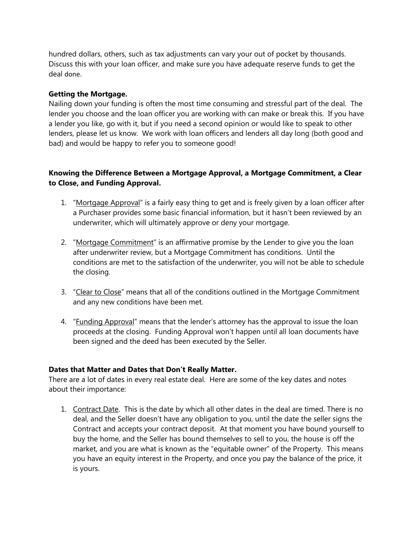hundred dollars, others, such as tax adjustments can vary your out of pocket by thousands. Discuss this with your loan officer, and make sure you have adequate reserve funds to get the deal done.

# **Getting the Mortgage.**

Nailing down your funding is often the most time consuming and stressful part of the deal. The lender you choose and the loan officer you are working with can make or break this. If you have a lender you like, go with it, but if you need a second opinion or would like to speak to other lenders, please let us know. We work with loan officers and lenders all day long (both good and bad) and would be happy to refer you to someone good!

# **Knowing the Difference Between a Mortgage Approval, a Mortgage Commitment, a Clear to Close, and Funding Approval.**

- 1. "Mortgage Approval" is a fairly easy thing to get and is freely given by a loan officer after a Purchaser provides some basic financial information, but it hasn't been reviewed by an underwriter, which will ultimately approve or deny your mortgage.
- 2. "Mortgage Commitment" is an affirmative promise by the Lender to give you the loan after underwriter review, but a Mortgage Commitment has conditions. Until the conditions are met to the satisfaction of the underwriter, you will not be able to schedule the closing.
- 3. "Clear to Close" means that all of the conditions outlined in the Mortgage Commitment and any new conditions have been met.
- 4. "Funding Approval" means that the lender's attorney has the approval to issue the loan proceeds at the closing. Funding Approval won't happen until all loan documents have been signed and the deed has been executed by the Seller.

## **Dates that Matter and Dates that Don't Really Matter.**

There are a lot of dates in every real estate deal. Here are some of the key dates and notes about their importance:

1. Contract Date. This is the date by which all other dates in the deal are timed. There is no deal, and the Seller doesn't have any obligation to you, until the date the seller signs the Contract and accepts your contract deposit. At that moment you have bound yourself to buy the home, and the Seller has bound themselves to sell to you, the house is off the market, and you are what is known as the "equitable owner" of the Property. This means you have an equity interest in the Property, and once you pay the balance of the price, it is yours.